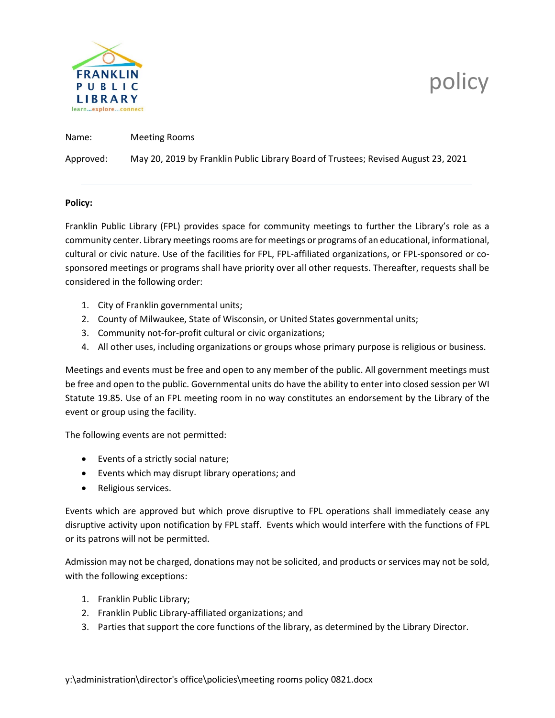

# policy

Name: Meeting Rooms

Approved: May 20, 2019 by Franklin Public Library Board of Trustees; Revised August 23, 2021

## **Policy:**

Franklin Public Library (FPL) provides space for community meetings to further the Library's role as a community center. Library meetings rooms are for meetings or programs of an educational, informational, cultural or civic nature. Use of the facilities for FPL, FPL-affiliated organizations, or FPL-sponsored or cosponsored meetings or programs shall have priority over all other requests. Thereafter, requests shall be considered in the following order:

- 1. City of Franklin governmental units;
- 2. County of Milwaukee, State of Wisconsin, or United States governmental units;
- 3. Community not-for-profit cultural or civic organizations;
- 4. All other uses, including organizations or groups whose primary purpose is religious or business.

Meetings and events must be free and open to any member of the public. All government meetings must be free and open to the public. Governmental units do have the ability to enter into closed session per WI Statute 19.85. Use of an FPL meeting room in no way constitutes an endorsement by the Library of the event or group using the facility.

The following events are not permitted:

- Events of a strictly social nature;
- Events which may disrupt library operations; and
- Religious services.

Events which are approved but which prove disruptive to FPL operations shall immediately cease any disruptive activity upon notification by FPL staff. Events which would interfere with the functions of FPL or its patrons will not be permitted.

Admission may not be charged, donations may not be solicited, and products or services may not be sold, with the following exceptions:

- 1. Franklin Public Library;
- 2. Franklin Public Library-affiliated organizations; and
- 3. Parties that support the core functions of the library, as determined by the Library Director.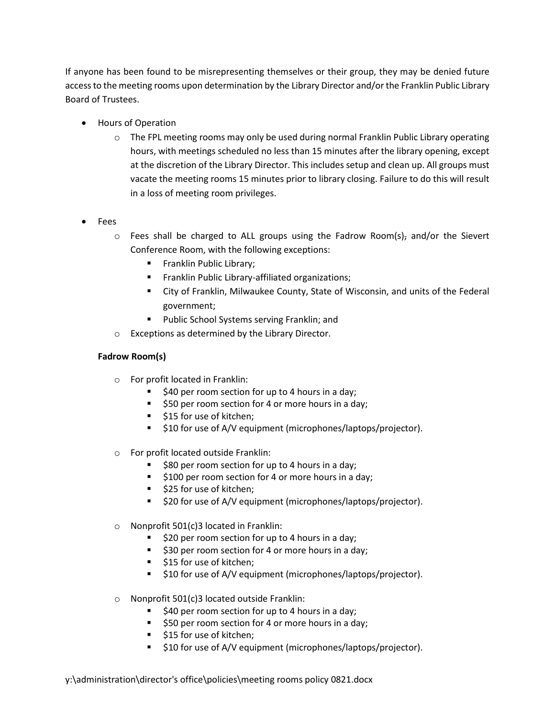If anyone has been found to be misrepresenting themselves or their group, they may be denied future access to the meeting rooms upon determination by the Library Director and/or the Franklin Public Library Board of Trustees.

- Hours of Operation
	- o The FPL meeting rooms may only be used during normal Franklin Public Library operating hours, with meetings scheduled no less than 15 minutes after the library opening, except at the discretion of the Library Director. This includes setup and clean up. All groups must vacate the meeting rooms 15 minutes prior to library closing. Failure to do this will result in a loss of meeting room privileges.
- Fees
	- $\circ$  Fees shall be charged to ALL groups using the Fadrow Room(s), and/or the Sievert Conference Room, with the following exceptions:
		- **Franklin Public Library;**
		- **Franklin Public Library-affiliated organizations;**
		- City of Franklin, Milwaukee County, State of Wisconsin, and units of the Federal government;
		- Public School Systems serving Franklin; and
	- o Exceptions as determined by the Library Director.

# **Fadrow Room(s)**

- o For profit located in Franklin:
	- $\overline{\phantom{a}}$  \$40 per room section for up to 4 hours in a day;
	- **50 per room section for 4 or more hours in a day;**
	- **515 for use of kitchen;**
	- **510 for use of A/V equipment (microphones/laptops/projector).**
- o For profit located outside Franklin:
	- \$80 per room section for up to 4 hours in a day;
	- **5100 per room section for 4 or more hours in a day;**
	- **525 for use of kitchen;**
	- \$20 for use of A/V equipment (microphones/laptops/projector).
- $\circ$  Nonprofit 501(c)3 located in Franklin:
	- $\overline{\phantom{a}}$  \$20 per room section for up to 4 hours in a day;
	- **530 per room section for 4 or more hours in a day;**
	- \$15 for use of kitchen;
	- **510 for use of A/V equipment (microphones/laptops/projector).**
- o Nonprofit 501(c)3 located outside Franklin:
	- $\overline{\phantom{a}}$  \$40 per room section for up to 4 hours in a day;
	- **50 per room section for 4 or more hours in a day;**
	- **515 for use of kitchen;**
	- **510 for use of A/V equipment (microphones/laptops/projector).**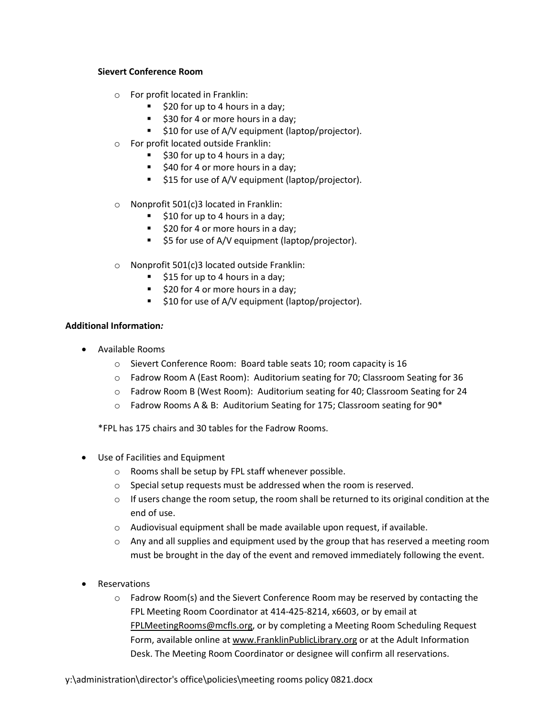#### **Sievert Conference Room**

- o For profit located in Franklin:
	- $\overline{\phantom{a}}$  \$20 for up to 4 hours in a day;
	- **530 for 4 or more hours in a day;**
	- **510 for use of A/V equipment (laptop/projector).**
- o For profit located outside Franklin:
	- $\overline{\phantom{a}}$  \$30 for up to 4 hours in a day;
	- **540 for 4 or more hours in a day;**
	- **515 for use of A/V equipment (laptop/projector).**
- o Nonprofit 501(c)3 located in Franklin:
	- $\overline{\phantom{a}}$  \$10 for up to 4 hours in a day;
	- **520 for 4 or more hours in a day;**
	- $\overline{\phantom{a}}$  \$5 for use of A/V equipment (laptop/projector).
- o Nonprofit 501(c)3 located outside Franklin:
	- $\overline{\phantom{a}}$  \$15 for up to 4 hours in a day;
	- $\overline{\phantom{a}}$  \$20 for 4 or more hours in a day;
	- **510 for use of A/V equipment (laptop/projector).**

## **Additional Information***:*

- Available Rooms
	- o Sievert Conference Room: Board table seats 10; room capacity is 16
	- o Fadrow Room A (East Room): Auditorium seating for 70; Classroom Seating for 36
	- o Fadrow Room B (West Room): Auditorium seating for 40; Classroom Seating for 24
	- $\circ$  Fadrow Rooms A & B: Auditorium Seating for 175; Classroom seating for 90\*

\*FPL has 175 chairs and 30 tables for the Fadrow Rooms.

- Use of Facilities and Equipment
	- o Rooms shall be setup by FPL staff whenever possible.
	- o Special setup requests must be addressed when the room is reserved.
	- $\circ$  If users change the room setup, the room shall be returned to its original condition at the end of use.
	- o Audiovisual equipment shall be made available upon request, if available.
	- $\circ$  Any and all supplies and equipment used by the group that has reserved a meeting room must be brought in the day of the event and removed immediately following the event.
- **Reservations** 
	- $\circ$  Fadrow Room(s) and the Sievert Conference Room may be reserved by contacting the FPL Meeting Room Coordinator at 414-425-8214, x6603, or by email at [FPLMeetingRooms@mcfls.org,](mailto:FPLMeetingRooms@mcfls.org) or by completing a Meeting Room Scheduling Request Form, available online a[t www.FranklinPublicLibrary.org](http://www.franklinpubliclibrary.org/) or at the Adult Information Desk. The Meeting Room Coordinator or designee will confirm all reservations.